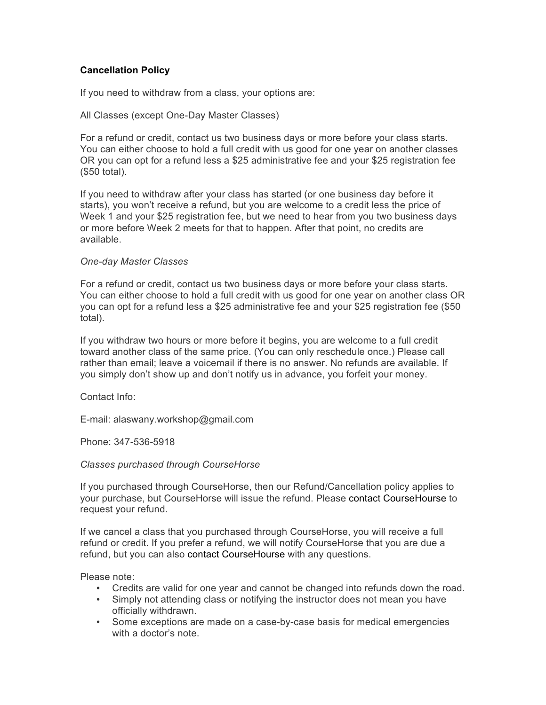## **Cancellation Policy**

If you need to withdraw from a class, your options are:

## All Classes (except One-Day Master Classes)

For a refund or credit, contact us two business days or more before your class starts. You can either choose to hold a full credit with us good for one year on another classes OR you can opt for a refund less a \$25 administrative fee and your \$25 registration fee (\$50 total).

If you need to withdraw after your class has started (or one business day before it starts), you won't receive a refund, but you are welcome to a credit less the price of Week 1 and your \$25 registration fee, but we need to hear from you two business days or more before Week 2 meets for that to happen. After that point, no credits are available.

## *One-day Master Classes*

For a refund or credit, contact us two business days or more before your class starts. You can either choose to hold a full credit with us good for one year on another class OR you can opt for a refund less a \$25 administrative fee and your \$25 registration fee (\$50 total).

If you withdraw two hours or more before it begins, you are welcome to a full credit toward another class of the same price. (You can only reschedule once.) Please call rather than email; leave a voicemail if there is no answer. No refunds are available. If you simply don't show up and don't notify us in advance, you forfeit your money.

Contact Info:

E-mail: alaswany.workshop@gmail.com

Phone: 347-536-5918

## *Classes purchased through CourseHorse*

If you purchased through CourseHorse, then our Refund/Cancellation policy applies to your purchase, but CourseHorse will issue the refund. Please contact CourseHourse to request your refund.

If we cancel a class that you purchased through CourseHorse, you will receive a full refund or credit. If you prefer a refund, we will notify CourseHorse that you are due a refund, but you can also contact CourseHourse with any questions.

Please note:

- Credits are valid for one year and cannot be changed into refunds down the road.
- Simply not attending class or notifying the instructor does not mean you have officially withdrawn.
- Some exceptions are made on a case-by-case basis for medical emergencies with a doctor's note.